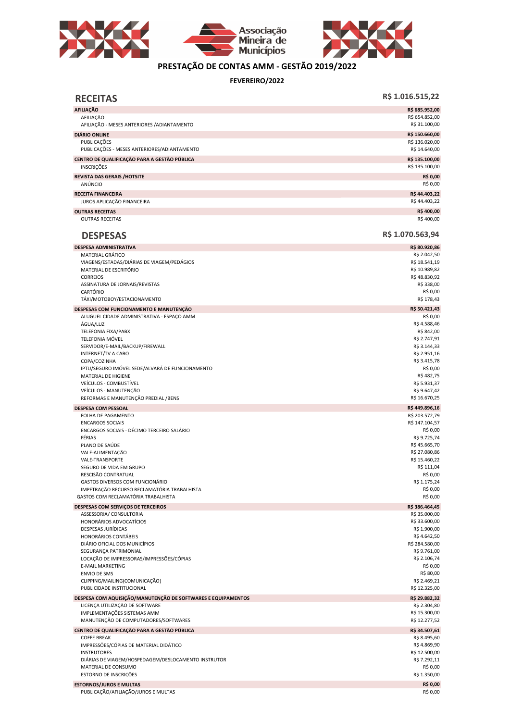





## PRESTAÇÃO DE CONTAS AMM - GESTÃO 2019/2022

FEVEREIRO/2022

| <b>RECEITAS</b>                                                                                | R\$ 1.016.515,22                               |
|------------------------------------------------------------------------------------------------|------------------------------------------------|
| <b>AFILIAÇÃO</b>                                                                               | R\$ 685.952,00                                 |
| AFILIAÇÃO<br>AFILIAÇÃO - MESES ANTERIORES / ADIANTAMENTO                                       | R\$ 654.852,00<br>R\$ 31.100,00                |
| <b>DIÁRIO ONLINE</b>                                                                           | R\$ 150.660,00                                 |
| PUBLICACÕES<br>PUBLICAÇÕES - MESES ANTERIORES/ADIANTAMENTO                                     | R\$ 136.020,00<br>R\$ 14.640,00                |
| CENTRO DE QUALIFICAÇÃO PARA A GESTÃO PÚBLICA<br><b>INSCRIÇÕES</b>                              | R\$ 135.100,00<br>R\$ 135.100,00               |
| <b>REVISTA DAS GERAIS /HOTSITE</b><br>ANÚNCIO                                                  | R\$ 0,00<br>R\$ 0,00                           |
| <b>RECEITA FINANCEIRA</b><br>JUROS APLICAÇÃO FINANCEIRA                                        | R\$44.403,22<br>R\$44.403,22                   |
| <b>OUTRAS RECEITAS</b>                                                                         | R\$400,00                                      |
| <b>OUTRAS RECEITAS</b>                                                                         | R\$400,00                                      |
| <b>DESPESAS</b>                                                                                | R\$ 1.070.563,94                               |
| <b>DESPESA ADMINISTRATIVA</b>                                                                  | R\$ 80.920,86                                  |
| MATERIAL GRÁFICO<br>VIAGENS/ESTADAS/DIÁRIAS DE VIAGEM/PEDÁGIOS<br>MATERIAL DE ESCRITÓRIO       | R\$ 2.042,50<br>R\$ 18.541,19<br>R\$ 10.989,82 |
| <b>CORREIOS</b>                                                                                | R\$48.830,92                                   |
| ASSINATURA DE JORNAIS/REVISTAS<br>CARTÓRIO                                                     | R\$ 338,00<br>R\$ 0,00                         |
| TÁXI/MOTOBOY/ESTACIONAMENTO                                                                    | R\$ 178,43                                     |
| DESPESAS COM FUNCIONAMENTO E MANUTENÇÃO<br>ALUGUEL CIDADE ADMINISTRATIVA - ESPAÇO AMM          | R\$ 50.421,43<br>R\$ 0,00                      |
| ÁGUA/LUZ                                                                                       | R\$4.588,46                                    |
| TELEFONIA FIXA/PABX                                                                            | R\$ 842,00                                     |
| <b>TELEFONIA MÓVEL</b>                                                                         | R\$ 2.747,91                                   |
| SERVIDOR/E-MAIL/BACKUP/FIREWALL                                                                | R\$ 3.144,33                                   |
| <b>INTERNET/TV A CABO</b><br>COPA/COZINHA                                                      | R\$ 2.951,16<br>R\$ 3.415,78                   |
| IPTU/SEGURO IMÓVEL SEDE/ALVARÁ DE FUNCIONAMENTO                                                | R\$ 0,00                                       |
| MATERIAL DE HIGIENE                                                                            | R\$482,75                                      |
| VEÍCULOS - COMBUSTÍVEL                                                                         | R\$ 5.931,37                                   |
| VEÍCULOS - MANUTENÇÃO                                                                          | R\$ 9.647,42                                   |
| REFORMAS E MANUTENÇÃO PREDIAL / BENS                                                           | R\$ 16.670,25                                  |
| <b>DESPESA COM PESSOAL</b><br>FOLHA DE PAGAMENTO                                               | R\$449.896,16<br>R\$ 203.572,79                |
| <b>ENCARGOS SOCIAIS</b>                                                                        | R\$ 147.104,57                                 |
| ENCARGOS SOCIAIS - DÉCIMO TERCEIRO SALÁRIO                                                     | R\$ 0,00                                       |
| FÉRIAS                                                                                         | R\$ 9.725,74                                   |
| PLANO DE SAÚDE                                                                                 | R\$45.665,70<br>R\$ 27.080,86                  |
| VALE-ALIMENTAÇÃO<br><b>VALE-TRANSPORTE</b>                                                     | R\$ 15.460,22                                  |
| SEGURO DE VIDA EM GRUPO                                                                        | R\$ 111,04                                     |
| RESCISÃO CONTRATUAL                                                                            | R\$ 0,00                                       |
| GASTOS DIVERSOS COM FUNCIONÁRIO                                                                | R\$ 1.175,24                                   |
| IMPETRAÇÃO RECURSO RECLAMATÓRIA TRABALHISTA<br>GASTOS COM RECLAMATÓRIA TRABALHISTA             | R\$ 0,00<br>R\$ 0,00                           |
|                                                                                                | R\$ 386.464,45                                 |
| DESPESAS COM SERVIÇOS DE TERCEIROS<br>ASSESSORIA/ CONSULTORIA                                  | R\$ 35.000,00                                  |
| HONORÁRIOS ADVOCATÍCIOS                                                                        | R\$ 33.600,00                                  |
| DESPESAS JURÍDICAS                                                                             | R\$ 1.900,00                                   |
| HONORÁRIOS CONTÁBEIS                                                                           | R\$4.642,50                                    |
| DIÁRIO OFICIAL DOS MUNICÍPIOS<br>SEGURANÇA PATRIMONIAL                                         | R\$ 284.580,00<br>R\$ 9.761,00                 |
| LOCAÇÃO DE IMPRESSORAS/IMPRESSÕES/CÓPIAS                                                       | R\$ 2.106,74                                   |
| <b>E-MAIL MARKETING</b>                                                                        | R\$ 0,00                                       |
| <b>ENVIO DE SMS</b>                                                                            | R\$ 80,00                                      |
| CLIPPING/MAILING(COMUNICAÇÃO)                                                                  | R\$ 2.469,21                                   |
| PUBLICIDADE INSTITUCIONAL                                                                      | R\$ 12.325,00                                  |
| DESPESA COM AQUISIÇÃO/MANUTENÇÃO DE SOFTWARES E EQUIPAMENTOS<br>LICENÇA UTILIZAÇÃO DE SOFTWARE | R\$ 29.882,32<br>R\$ 2.304,80                  |
| IMPLEMENTAÇÕES SISTEMAS AMM<br>MANUTENÇÃO DE COMPUTADORES/SOFTWARES                            | R\$ 15.300,00<br>R\$ 12.277,52                 |
| CENTRO DE QUALIFICAÇÃO PARA A GESTÃO PÚBLICA                                                   | R\$ 34.507,61                                  |
| <b>COFFE BREAK</b>                                                                             | R\$ 8.495,60                                   |
| IMPRESSÕES/CÓPIAS DE MATERIAL DIDÁTICO                                                         | R\$4.869,90                                    |
| <b>INSTRUTORES</b>                                                                             | R\$ 12.500,00                                  |
| DIÁRIAS DE VIAGEM/HOSPEDAGEM/DESLOCAMENTO INSTRUTOR                                            | R\$ 7.292,11                                   |
| MATERIAL DE CONSUMO<br>ESTORNO DE INSCRIÇÕES                                                   | R\$ 0,00<br>R\$ 1.350,00                       |
|                                                                                                | R\$ 0,00                                       |
| <b>ESTORNOS/JUROS E MULTAS</b><br>PUBLICAÇÃO/AFILIAÇÃO/JUROS E MULTAS                          | R\$ 0,00                                       |
|                                                                                                |                                                |